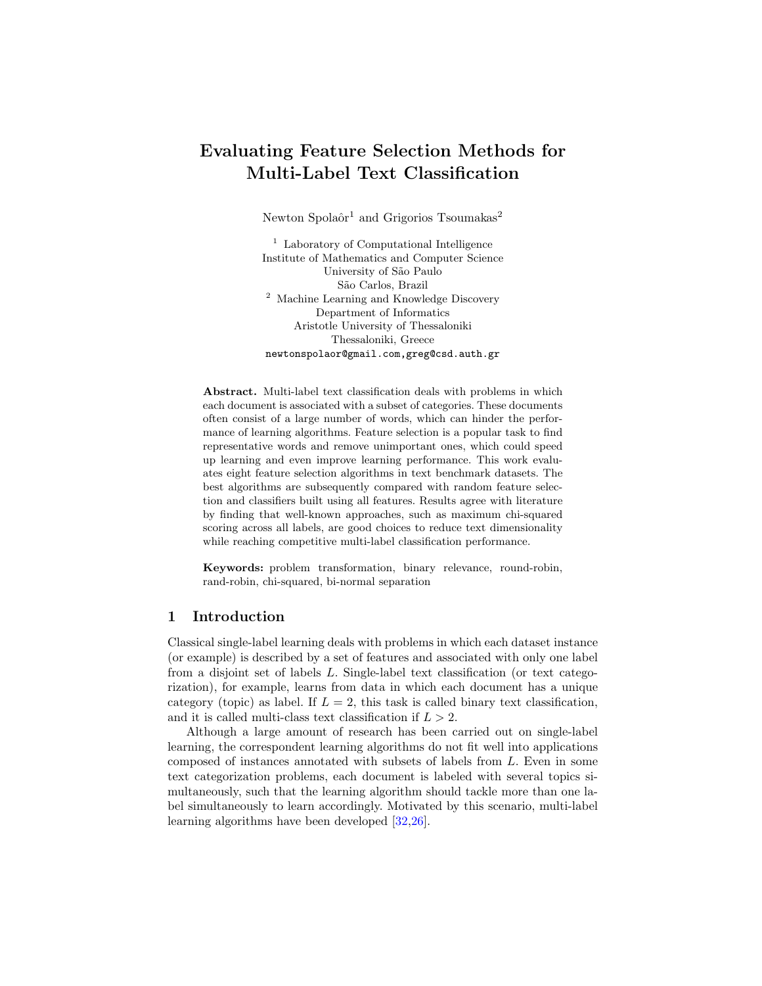# Evaluating Feature Selection Methods for Multi-Label Text Classification

Newton Spolaôr<sup>1</sup> and Grigorios Tsoumakas<sup>2</sup>

<sup>1</sup> Laboratory of Computational Intelligence Institute of Mathematics and Computer Science University of São Paulo S˜ao Carlos, Brazil <sup>2</sup> Machine Learning and Knowledge Discovery Department of Informatics Aristotle University of Thessaloniki Thessaloniki, Greece newtonspolaor@gmail.com,greg@csd.auth.gr

Abstract. Multi-label text classification deals with problems in which each document is associated with a subset of categories. These documents often consist of a large number of words, which can hinder the performance of learning algorithms. Feature selection is a popular task to find representative words and remove unimportant ones, which could speed up learning and even improve learning performance. This work evaluates eight feature selection algorithms in text benchmark datasets. The best algorithms are subsequently compared with random feature selection and classifiers built using all features. Results agree with literature by finding that well-known approaches, such as maximum chi-squared scoring across all labels, are good choices to reduce text dimensionality while reaching competitive multi-label classification performance.

Keywords: problem transformation, binary relevance, round-robin, rand-robin, chi-squared, bi-normal separation

## 1 Introduction

Classical single-label learning deals with problems in which each dataset instance (or example) is described by a set of features and associated with only one label from a disjoint set of labels L. Single-label text classification (or text categorization), for example, learns from data in which each document has a unique category (topic) as label. If  $L = 2$ , this task is called binary text classification, and it is called multi-class text classification if  $L > 2$ .

Although a large amount of research has been carried out on single-label learning, the correspondent learning algorithms do not fit well into applications composed of instances annotated with subsets of labels from L. Even in some text categorization problems, each document is labeled with several topics simultaneously, such that the learning algorithm should tackle more than one label simultaneously to learn accordingly. Motivated by this scenario, multi-label learning algorithms have been developed [\[32,](#page-11-0)[26\]](#page-11-1).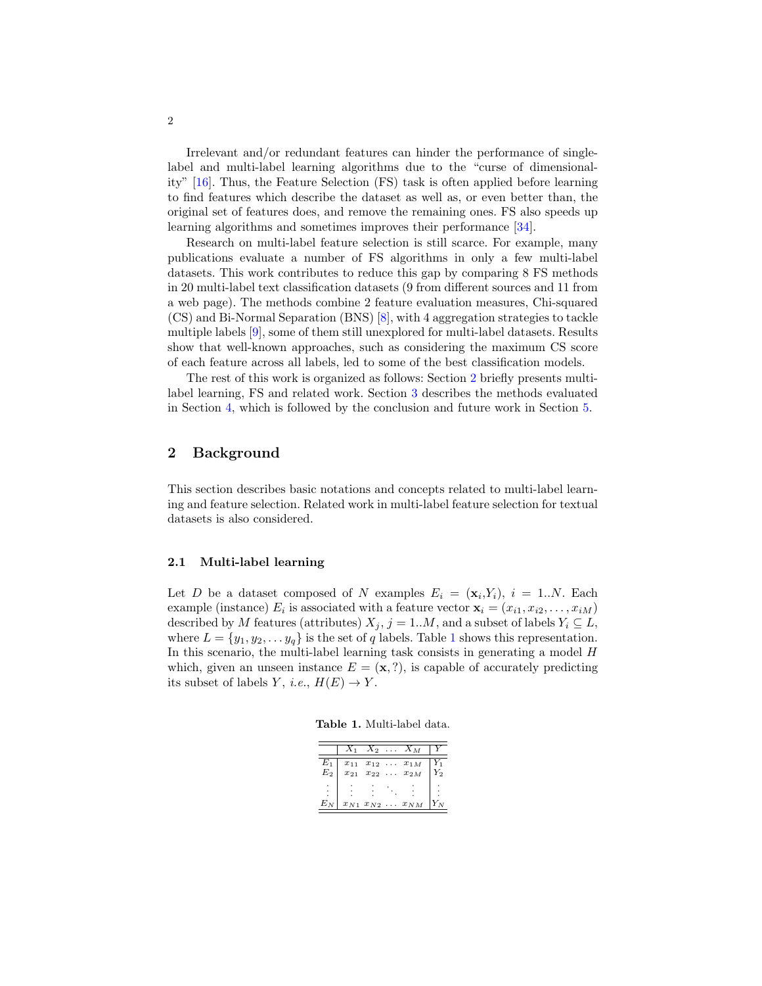Irrelevant and/or redundant features can hinder the performance of singlelabel and multi-label learning algorithms due to the "curse of dimensionality" [\[16\]](#page-10-0). Thus, the Feature Selection (FS) task is often applied before learning to find features which describe the dataset as well as, or even better than, the original set of features does, and remove the remaining ones. FS also speeds up learning algorithms and sometimes improves their performance [\[34\]](#page-11-2).

Research on multi-label feature selection is still scarce. For example, many publications evaluate a number of FS algorithms in only a few multi-label datasets. This work contributes to reduce this gap by comparing 8 FS methods in 20 multi-label text classification datasets (9 from different sources and 11 from a web page). The methods combine 2 feature evaluation measures, Chi-squared (CS) and Bi-Normal Separation (BNS) [\[8\]](#page-10-1), with 4 aggregation strategies to tackle multiple labels [\[9\]](#page-10-2), some of them still unexplored for multi-label datasets. Results show that well-known approaches, such as considering the maximum CS score of each feature across all labels, led to some of the best classification models.

The rest of this work is organized as follows: Section [2](#page-1-0) briefly presents multilabel learning, FS and related work. Section [3](#page-3-0) describes the methods evaluated in Section [4,](#page-5-0) which is followed by the conclusion and future work in Section [5.](#page-9-0)

# <span id="page-1-0"></span>2 Background

This section describes basic notations and concepts related to multi-label learning and feature selection. Related work in multi-label feature selection for textual datasets is also considered.

### 2.1 Multi-label learning

Let D be a dataset composed of N examples  $E_i = (\mathbf{x}_i, Y_i), i = 1..N$ . Each example (instance)  $E_i$  is associated with a feature vector  $\mathbf{x}_i = (x_{i1}, x_{i2}, \dots, x_{iM})$ described by M features (attributes)  $X_j$ , j = 1..M, and a subset of labels  $Y_i \subseteq L$ , where  $L = \{y_1, y_2, \ldots y_q\}$  $L = \{y_1, y_2, \ldots y_q\}$  $L = \{y_1, y_2, \ldots y_q\}$  is the set of q labels. Table 1 shows this representation. In this scenario, the multi-label learning task consists in generating a model H which, given an unseen instance  $E = (\mathbf{x}, ?)$ , is capable of accurately predicting its subset of labels Y, *i.e.*,  $H(E) \rightarrow Y$ .

<span id="page-1-1"></span>Table 1. Multi-label data.

|                           | $X_1$ |  | $X_2 \ldots X_M$                                                  |    |
|---------------------------|-------|--|-------------------------------------------------------------------|----|
| $E_1$<br>$\overline{E}_2$ |       |  | $x_{11}$ $x_{12}$ $\ldots$ $x_{1M}$<br>$x_{21}$ $x_{22}$ $x_{2M}$ | ζ2 |
|                           |       |  |                                                                   |    |
| $E_N$                     |       |  | $x_{N1} x_{N2} \ldots x_{NM}$                                     |    |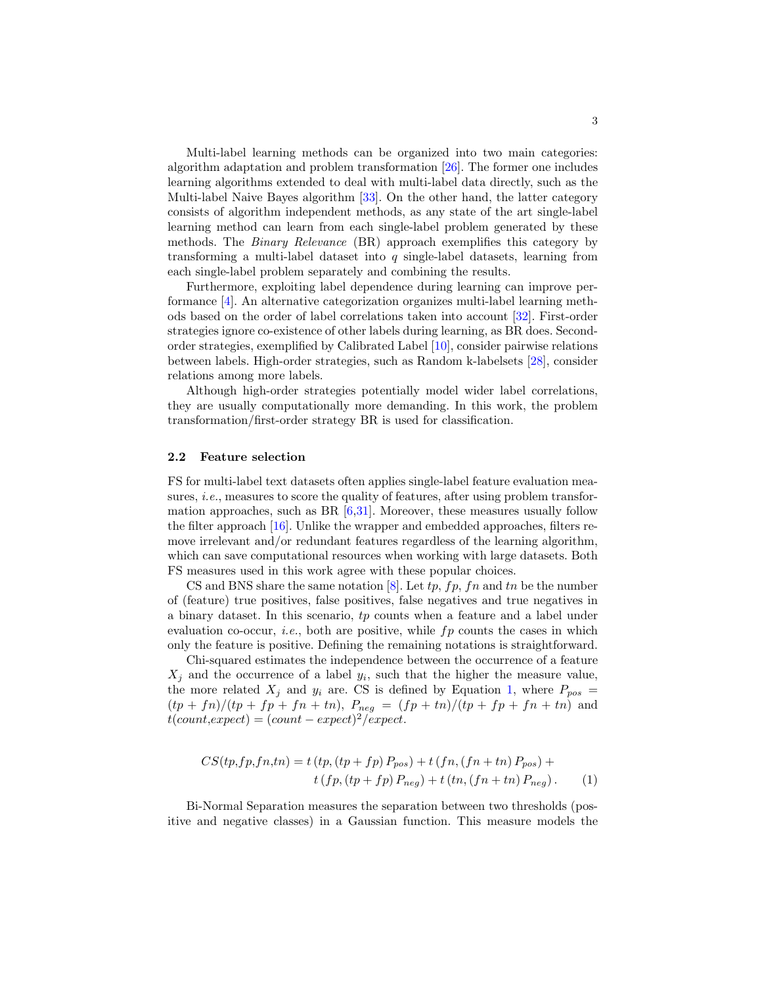Multi-label learning methods can be organized into two main categories: algorithm adaptation and problem transformation [\[26\]](#page-11-1). The former one includes learning algorithms extended to deal with multi-label data directly, such as the Multi-label Naive Bayes algorithm [\[33\]](#page-11-3). On the other hand, the latter category consists of algorithm independent methods, as any state of the art single-label learning method can learn from each single-label problem generated by these methods. The Binary Relevance (BR) approach exemplifies this category by transforming a multi-label dataset into  $q$  single-label datasets, learning from each single-label problem separately and combining the results.

Furthermore, exploiting label dependence during learning can improve performance [\[4\]](#page-10-3). An alternative categorization organizes multi-label learning methods based on the order of label correlations taken into account [\[32\]](#page-11-0). First-order strategies ignore co-existence of other labels during learning, as BR does. Secondorder strategies, exemplified by Calibrated Label [\[10\]](#page-10-4), consider pairwise relations between labels. High-order strategies, such as Random k-labelsets [\[28\]](#page-11-4), consider relations among more labels.

Although high-order strategies potentially model wider label correlations, they are usually computationally more demanding. In this work, the problem transformation/first-order strategy BR is used for classification.

### 2.2 Feature selection

FS for multi-label text datasets often applies single-label feature evaluation measures, i.e., measures to score the quality of features, after using problem transformation approaches, such as BR  $[6,31]$  $[6,31]$ . Moreover, these measures usually follow the filter approach [\[16\]](#page-10-0). Unlike the wrapper and embedded approaches, filters remove irrelevant and/or redundant features regardless of the learning algorithm, which can save computational resources when working with large datasets. Both FS measures used in this work agree with these popular choices.

CS and BNS share the same notation  $[8]$ . Let tp, fp, fn and tn be the number of (feature) true positives, false positives, false negatives and true negatives in a binary dataset. In this scenario, tp counts when a feature and a label under evaluation co-occur, *i.e.*, both are positive, while  $fp$  counts the cases in which only the feature is positive. Defining the remaining notations is straightforward.

Chi-squared estimates the independence between the occurrence of a feature  $X_j$  and the occurrence of a label  $y_i$ , such that the higher the measure value, the more related  $X_j$  and  $y_i$  are. CS is defined by Equation [1,](#page-2-0) where  $P_{pos}$  =  $(tp + fn)/(tp + fp + fn + tn)$ ,  $P_{neg} = (fp + tn)/(tp + fp + fn + tn)$  and  $t(count, expect) = (count - expect)^2/expect.$ 

<span id="page-2-0"></span>
$$
CS(tp, fp, fn, tn) = t\ (tp, (tp+fp) \ P_{pos}) + t\ (fn, (fn+tn) \ P_{pos}) +\t\t t\ (fp, (tp+fp) \ P_{neg}) + t\ (tn, (fn+tn) \ P_{neg}).
$$
\n(1)

Bi-Normal Separation measures the separation between two thresholds (positive and negative classes) in a Gaussian function. This measure models the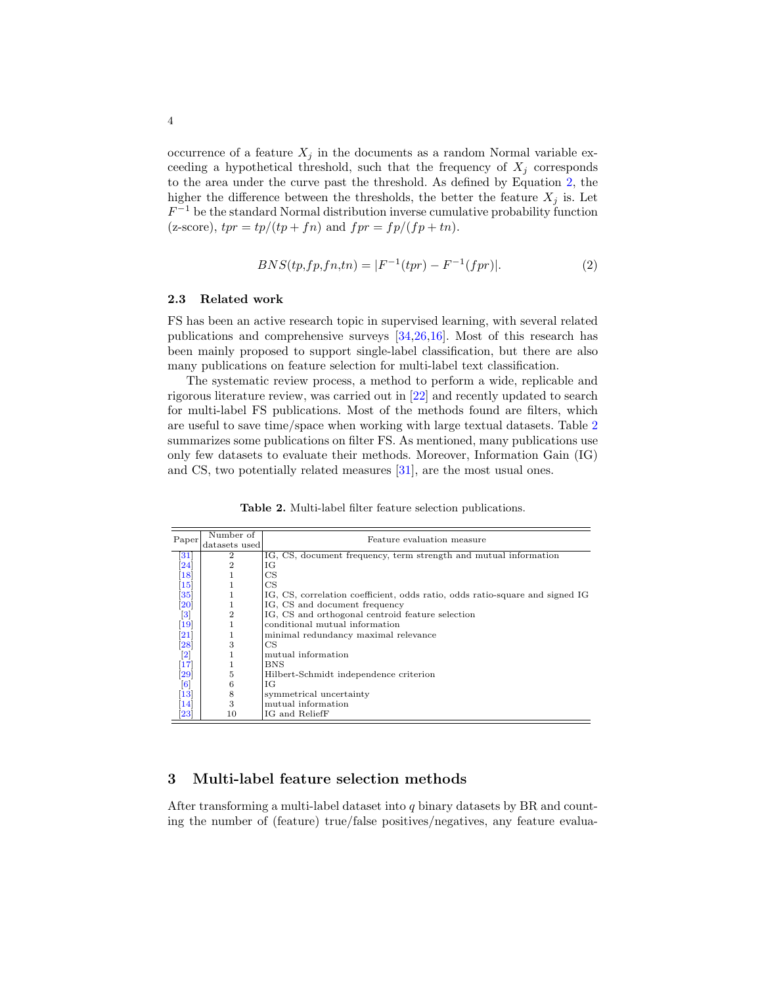occurrence of a feature  $X_i$  in the documents as a random Normal variable exceeding a hypothetical threshold, such that the frequency of  $X_j$  corresponds to the area under the curve past the threshold. As defined by Equation [2,](#page-3-1) the higher the difference between the thresholds, the better the feature  $X_j$  is. Let  $F^{-1}$  be the standard Normal distribution inverse cumulative probability function (z-score),  $tpr = tp/(tp + fn)$  and  $fpr = fp/(fp + tn)$ .

<span id="page-3-1"></span>
$$
BNS(tp, fp, fn, tn) = |F^{-1}(tpr) - F^{-1}(fpr)|.
$$
\n(2)

### 2.3 Related work

FS has been an active research topic in supervised learning, with several related publications and comprehensive surveys [\[34,](#page-11-2)[26,](#page-11-1)[16\]](#page-10-0). Most of this research has been mainly proposed to support single-label classification, but there are also many publications on feature selection for multi-label text classification.

The systematic review process, a method to perform a wide, replicable and rigorous literature review, was carried out in [\[22\]](#page-11-6) and recently updated to search for multi-label FS publications. Most of the methods found are filters, which are useful to save time/space when working with large textual datasets. Table [2](#page-3-2) summarizes some publications on filter FS. As mentioned, many publications use only few datasets to evaluate their methods. Moreover, Information Gain (IG) and CS, two potentially related measures [\[31\]](#page-11-5), are the most usual ones.

<span id="page-3-2"></span>Table 2. Multi-label filter feature selection publications.

|                     | Number of      | Feature evaluation measure                                                   |
|---------------------|----------------|------------------------------------------------------------------------------|
| Paper               | datasets used  |                                                                              |
| 31                  | $\overline{2}$ | IG, CS, document frequency, term strength and mutual information             |
| 24                  | $\overline{2}$ | ΙG                                                                           |
| $\left 18\right $   |                | CS                                                                           |
| $\vert 15 \vert$    | 1              | CS                                                                           |
| $\bm{35}$           | 1              | IG, CS, correlation coefficient, odds ratio, odds ratio-square and signed IG |
| $\left 20\right $   |                | IG, CS and document frequency                                                |
| $\vert 3 \vert$     | $\overline{2}$ | IG, CS and orthogonal centroid feature selection                             |
| 19                  | 1              | conditional mutual information                                               |
| $\left  21\right $  | 1              | minimal redundancy maximal relevance                                         |
| $\left  28 \right $ | 3              | CS                                                                           |
| $\left[ 2\right]$   |                | mutual information                                                           |
| 17                  | 1              | BNS                                                                          |
| 29                  | 5              | Hilbert-Schmidt independence criterion                                       |
| $\vert 6 \vert$     | 6              | ЮG                                                                           |
| $\vert 13 \vert$    | 8              | symmetrical uncertainty                                                      |
| 14                  | 3              | mutual information                                                           |
| $\left  23\right $  | 10             | IG and ReliefF                                                               |

# <span id="page-3-0"></span>3 Multi-label feature selection methods

After transforming a multi-label dataset into q binary datasets by BR and counting the number of (feature) true/false positives/negatives, any feature evalua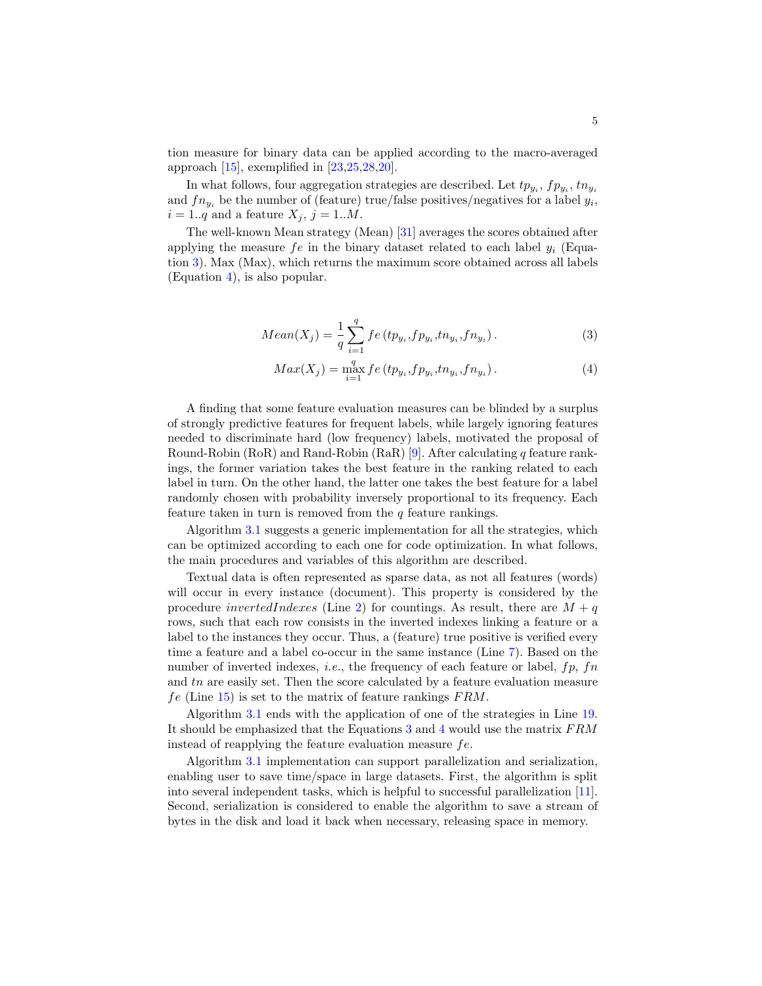tion measure for binary data can be applied according to the macro-averaged approach  $[15]$ , exemplified in  $[23,25,28,20]$  $[23,25,28,20]$  $[23,25,28,20]$  $[23,25,28,20]$ .

In what follows, four aggregation strategies are described. Let  $tp_{y_i}, fp_{y_i}, tn_{y_i}$ and  $fn_{y_i}$  be the number of (feature) true/false positives/negatives for a label  $y_i$ ,  $i = 1..q$  and a feature  $X_j$ ,  $j = 1..M$ .

The well-known Mean strategy (Mean) [\[31\]](#page-11-5) averages the scores obtained after applying the measure  $fe$  in the binary dataset related to each label  $y_i$  (Equation [3\)](#page-4-0). Max (Max), which returns the maximum score obtained across all labels (Equation [4\)](#page-4-0), is also popular.

<span id="page-4-0"></span>
$$
Mean(X_j) = \frac{1}{q} \sum_{i=1}^{q} f e(t p_{y_i}, f p_{y_i}, t n_{y_i}, f n_{y_i}).
$$
\n(3)

$$
Max(X_j) = \max_{i=1}^{q} f e(t p_{y_i}, f p_{y_i}, t n_{y_i}, f n_{y_i}).
$$
\n(4)

A finding that some feature evaluation measures can be blinded by a surplus of strongly predictive features for frequent labels, while largely ignoring features needed to discriminate hard (low frequency) labels, motivated the proposal of Round-Robin (RoR) and Rand-Robin (RaR) [\[9\]](#page-10-2). After calculating q feature rankings, the former variation takes the best feature in the ranking related to each label in turn. On the other hand, the latter one takes the best feature for a label randomly chosen with probability inversely proportional to its frequency. Each feature taken in turn is removed from the  $q$  feature rankings.

Algorithm [3.1](#page-5-1) suggests a generic implementation for all the strategies, which can be optimized according to each one for code optimization. In what follows, the main procedures and variables of this algorithm are described.

Textual data is often represented as sparse data, as not all features (words) will occur in every instance (document). This property is considered by the procedure invertedIndexes (Line [2\)](#page-5-1) for countings. As result, there are  $M + q$ rows, such that each row consists in the inverted indexes linking a feature or a label to the instances they occur. Thus, a (feature) true positive is verified every time a feature and a label co-occur in the same instance (Line [7\)](#page-5-1). Based on the number of inverted indexes, *i.e.*, the frequency of each feature or label,  $fp$ ,  $fn$ and tn are easily set. Then the score calculated by a feature evaluation measure  $fe$  (Line [15\)](#page-5-1) is set to the matrix of feature rankings  $FRM$ .

Algorithm [3.1](#page-5-1) ends with the application of one of the strategies in Line [19.](#page-5-1) It should be emphasized that the Equations [3](#page-4-0) and [4](#page-4-0) would use the matrix FRM instead of reapplying the feature evaluation measure fe.

Algorithm [3.1](#page-5-1) implementation can support parallelization and serialization, enabling user to save time/space in large datasets. First, the algorithm is split into several independent tasks, which is helpful to successful parallelization [\[11\]](#page-10-13). Second, serialization is considered to enable the algorithm to save a stream of bytes in the disk and load it back when necessary, releasing space in memory.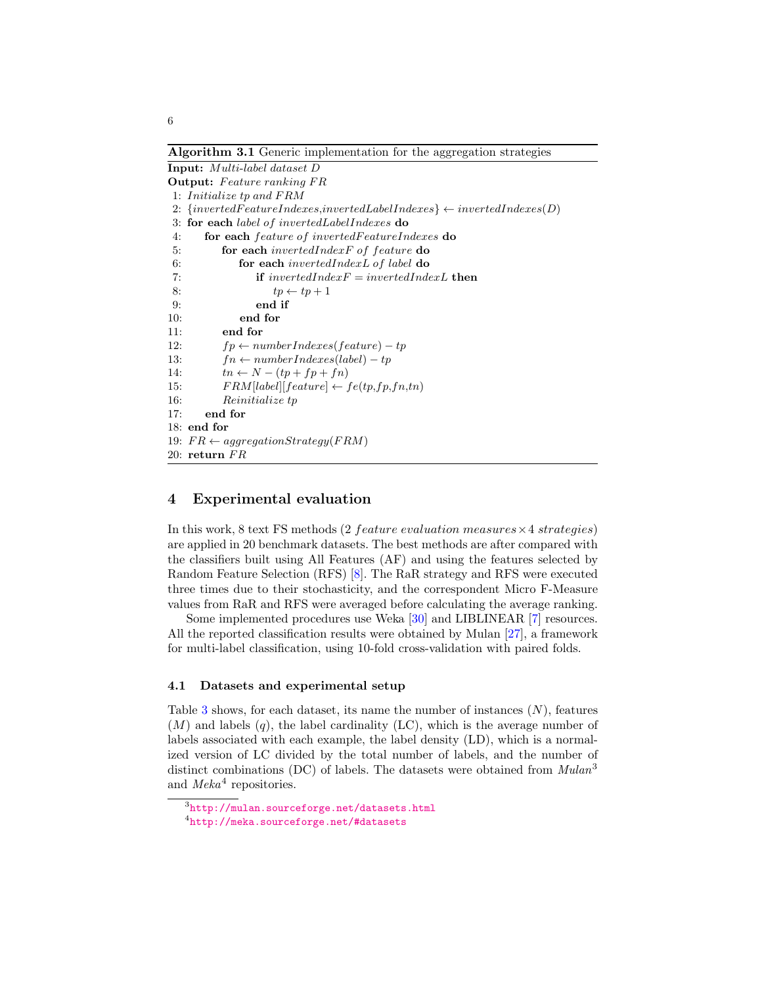<span id="page-5-1"></span>Algorithm 3.1 Generic implementation for the aggregation strategies

Input: Multi-label dataset D **Output:** Feature ranking FR 1: Initialize tp and FRM 2:  $\{invertedFeatures, invertedLabelIndexes\} \leftarrow invertedIndexes(D)$ 3: for each label of invertedLabelIndexes do 4: for each feature of invertedFeatureIndexes do 5: for each invertedIndexF of feature do 6: for each invertedIndexL of label do 7: **if**  $invertedIndexF = invertedIndexL$  then 8:  $tp \leftarrow tp + 1$ 9: end if 10: end for 11: end for 12:  $fp \leftarrow numberIndexes(feature) - tp$ 13:  $fn \leftarrow numberIndexes(label) - tp$ 14:  $tn \leftarrow N - (tp + fp + fn)$ 15:  $FRM[label][feature] \leftarrow fe(tp, fp, fn, tn)$ 16: Reinitialize tp 17: end for 18: end for 19:  $FR \leftarrow aggregationStrategy(FRM)$  $20:$  return  $FR$ 

# <span id="page-5-0"></span>4 Experimental evaluation

In this work, 8 text FS methods (2 *feature evaluation measures*  $\times$  4 *strategies*) are applied in 20 benchmark datasets. The best methods are after compared with the classifiers built using All Features (AF) and using the features selected by Random Feature Selection (RFS) [\[8\]](#page-10-1). The RaR strategy and RFS were executed three times due to their stochasticity, and the correspondent Micro F-Measure values from RaR and RFS were averaged before calculating the average ranking.

Some implemented procedures use Weka [\[30\]](#page-11-15) and LIBLINEAR [\[7\]](#page-10-14) resources. All the reported classification results were obtained by Mulan [\[27\]](#page-11-16), a framework for multi-label classification, using 10-fold cross-validation with paired folds.

#### <span id="page-5-2"></span>4.1 Datasets and experimental setup

Table [3](#page-6-0) shows, for each dataset, its name the number of instances  $(N)$ , features  $(M)$  and labels  $(q)$ , the label cardinality  $(LC)$ , which is the average number of labels associated with each example, the label density (LD), which is a normalized version of LC divided by the total number of labels, and the number of distinct combinations (DC) of labels. The datasets were obtained from  $Mulan^3$ and  $Meka^4$  repositories.

 $^3$ <http://mulan.sourceforge.net/datasets.html>

<sup>4</sup> <http://meka.sourceforge.net/#datasets>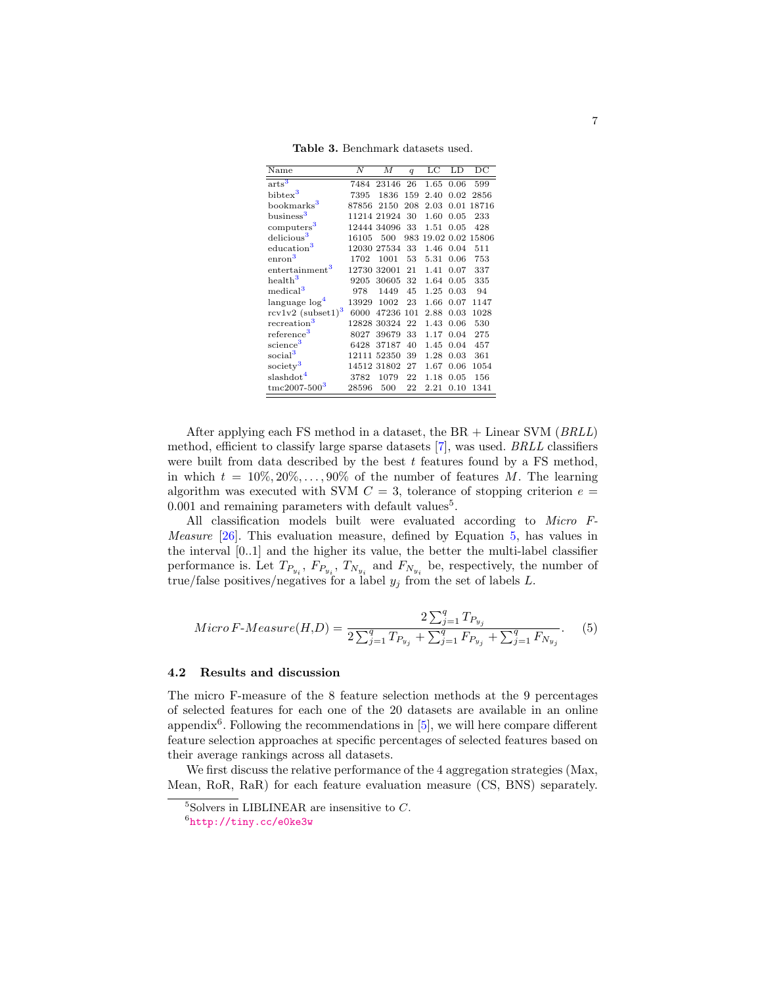<span id="page-6-0"></span>Table 3. Benchmark datasets used.

| Name                                 | Ν     | М           | $\boldsymbol{q}$ | LC   | LD   | $\overline{DC}$  |
|--------------------------------------|-------|-------------|------------------|------|------|------------------|
| $arts^3$                             | 7484  | 23146       | 26               | 1.65 | 0.06 | 599              |
| bibtex <sup>3</sup>                  | 7395  | 1836        | 159              | 2.40 | 0.02 | 2856             |
| bookmarks <sup>3</sup>               | 87856 | 2150        | 208              | 2.03 | 0.01 | 18716            |
| business <sup>3</sup>                |       | 11214 21924 | 30               | 1.60 | 0.05 | 233              |
| computers <sup>3</sup>               |       | 12444 34096 | 33               | 1.51 | 0.05 | 428              |
| delicious <sup>3</sup>               | 16105 | 500         | 983              |      |      | 19.02 0.02 15806 |
| education <sup>3</sup>               |       | 12030 27534 | 33               | 1.46 | 0.04 | 511              |
| $\mathrm{enron}^3$                   | 1702  | 1001        | 53               | 5.31 | 0.06 | 753              |
| entertainment <sup>3</sup>           | 12730 | 32001       | 21               | 1.41 | 0.07 | 337              |
| health <sup>3</sup>                  | 9205  | 30605       | 32               | 1.64 | 0.05 | 335              |
| medical <sup>3</sup>                 | 978   | 1449        | 45               | 1.25 | 0.03 | 94               |
| language log <sup>4</sup>            | 13929 | 1002        | 23               | 1.66 | 0.07 | 1147             |
| $rcv1v2$ (subset1) <sup>3</sup>      | 6000  | 47236       | 101              | 2.88 | 0.03 | 1028             |
| recreation <sup>3</sup>              |       | 12828 30324 | 22               | 1.43 | 0.06 | 530              |
| reference <sup>3</sup>               | 8027  | 39679       | 33               | 1.17 | 0.04 | 275              |
| science <sup>3</sup>                 | 6428  | 37187       | 40               | 1.45 | 0.04 | 457              |
| social <sup>3</sup>                  | 12111 | 52350       | 39               | 1.28 | 0.03 | 361              |
| society <sup>3</sup>                 |       | 14512 31802 | 27               | 1.67 | 0.06 | 1054             |
| slashdot <sup>4</sup>                | 3782  | 1079        | 22               | 1.18 | 0.05 | 156              |
| $\mathrm{t}$ mc2007-500 <sup>3</sup> | 28596 | 500         | 22               | 2.21 | 0.10 | 1341             |

After applying each FS method in a dataset, the BR + Linear SVM (BRLL) method, efficient to classify large sparse datasets [\[7\]](#page-10-14), was used. BRLL classifiers were built from data described by the best  $t$  features found by a FS method, in which  $t = 10\%, 20\%, \ldots, 90\%$  of the number of features M. The learning algorithm was executed with SVM  $C = 3$ , tolerance of stopping criterion  $e =$  $0.001$  and remaining parameters with default values<sup>5</sup>.

All classification models built were evaluated according to Micro F-Measure [\[26\]](#page-11-1). This evaluation measure, defined by Equation [5,](#page-6-1) has values in the interval [0..1] and the higher its value, the better the multi-label classifier performance is. Let  $T_{P_{y_i}}$ ,  $F_{P_{y_i}}$ ,  $T_{N_{y_i}}$  and  $F_{N_{y_i}}$  be, respectively, the number of true/false positives/negatives for a label  $y_j$  from the set of labels L.

<span id="page-6-1"></span>
$$
Micro\,F\text{-}Measure(H, D) = \frac{2\sum_{j=1}^{q} T_{P_{y_j}}}{2\sum_{j=1}^{q} T_{P_{y_j}} + \sum_{j=1}^{q} F_{P_{y_j}} + \sum_{j=1}^{q} F_{N_{y_j}}}.
$$
 (5)

#### 4.2 Results and discussion

The micro F-measure of the 8 feature selection methods at the 9 percentages of selected features for each one of the 20 datasets are available in an online appendix<sup>6</sup>. Following the recommendations in  $[5]$ , we will here compare different feature selection approaches at specific percentages of selected features based on their average rankings across all datasets.

We first discuss the relative performance of the 4 aggregation strategies (Max, Mean, RoR, RaR) for each feature evaluation measure (CS, BNS) separately.

 $^{5}\rm{Solves}$  in LIBLINEAR are insensitive to  $C.$ 

 $^6$ <http://tiny.cc/e0ke3w>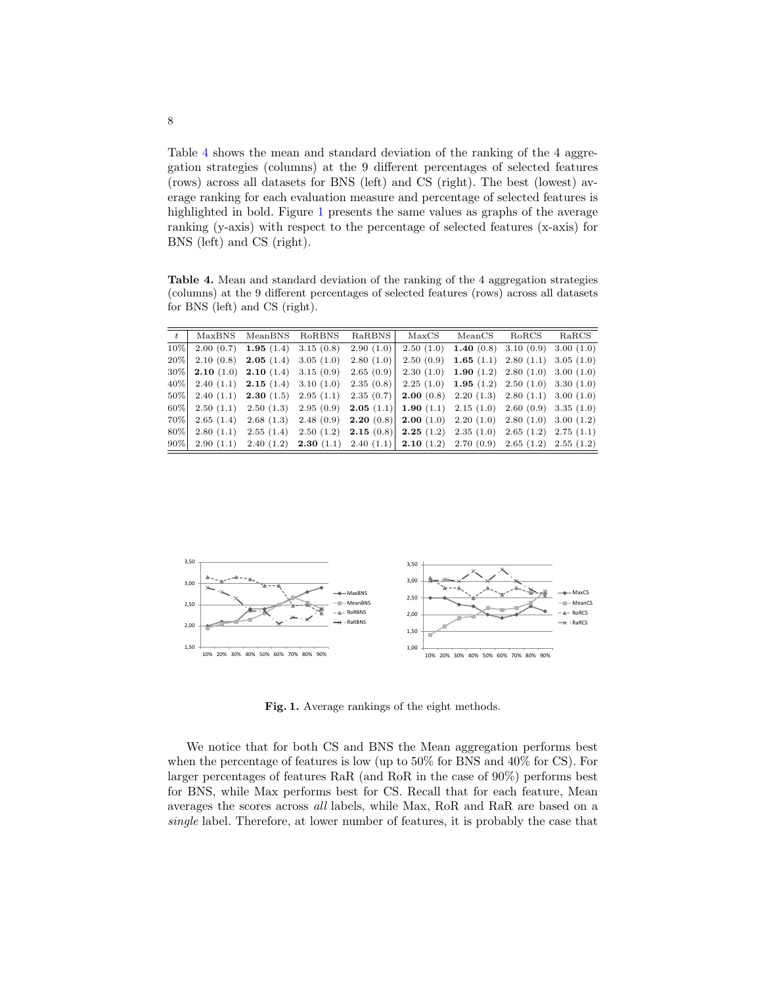Table [4](#page-7-0) shows the mean and standard deviation of the ranking of the 4 aggregation strategies (columns) at the 9 different percentages of selected features (rows) across all datasets for BNS (left) and CS (right). The best (lowest) average ranking for each evaluation measure and percentage of selected features is highlighted in bold. Figure [1](#page-7-1) presents the same values as graphs of the average ranking (y-axis) with respect to the percentage of selected features (x-axis) for BNS (left) and CS (right).

<span id="page-7-0"></span>Table 4. Mean and standard deviation of the ranking of the 4 aggregation strategies (columns) at the 9 different percentages of selected features (rows) across all datasets for BNS (left) and CS (right).

|        | MaxBNS MeanBNS RoRBNS RaRBNS                   |           | MaxCS                                                                                   | MeanCS                                               | RoRCS | RaRCS |
|--------|------------------------------------------------|-----------|-----------------------------------------------------------------------------------------|------------------------------------------------------|-------|-------|
| 10%    | $2.00(0.7)$ 1.95 (1.4) 3.15 (0.8)              | 2.90(1.0) |                                                                                         | $2.50(1.0)$ <b>1.40</b> (0.8) 3.10 (0.9) 3.00 (1.0)  |       |       |
| $20\%$ | 2.10 (0.8) 2.05 (1.4) 3.05 (1.0)               | 2.80(1.0) |                                                                                         | $2.50(0.9)$ <b>1.65</b> (1.1) $2.80(1.1)$ 3.05 (1.0) |       |       |
| $30\%$ | <b>2.10</b> (1.0) <b>2.10</b> (1.4) 3.15 (0.9) | 2.65(0.9) |                                                                                         | $2.30(1.0)$ 1.90 (1.2) 2.80 (1.0) 3.00 (1.0)         |       |       |
| $40\%$ |                                                |           | 2.40 (1.1) 2.15 (1.4) 3.10 (1.0) 2.35 (0.8) 2.25 (1.0) 1.95 (1.2) 2.50 (1.0) 3.30 (1.0) |                                                      |       |       |
| $50\%$ |                                                |           | 2.40 (1.1) 2.30 (1.5) 2.95 (1.1) 2.35 (0.7) 2.00 (0.8) 2.20 (1.3) 2.80 (1.1) 3.00 (1.0) |                                                      |       |       |
| $60\%$ |                                                |           | 2.50 (1.1) 2.50 (1.3) 2.95 (0.9) 2.05 (1.1) 1.90 (1.1) 2.15 (1.0) 2.60 (0.9) 3.35 (1.0) |                                                      |       |       |
| 70%    |                                                |           | 2.65 (1.4) 2.68 (1.3) 2.48 (0.9) 2.20 (0.8) 2.00 (1.0) 2.20 (1.0) 2.80 (1.0) 3.00 (1.2) |                                                      |       |       |
| $80\%$ |                                                |           | 2.80 (1.1) 2.55 (1.4) 2.50 (1.2) 2.15 (0.8) 2.25 (1.2) 2.35 (1.0) 2.65 (1.2) 2.75 (1.1) |                                                      |       |       |
| $90\%$ |                                                |           | 2.90 (1.1) 2.40 (1.2) 2.30 (1.1) 2.40 (1.1) 2.10 (1.2) 2.70 (0.9) 2.65 (1.2) 2.55 (1.2) |                                                      |       |       |



<span id="page-7-1"></span>Fig. 1. Average rankings of the eight methods.

We notice that for both CS and BNS the Mean aggregation performs best when the percentage of features is low (up to 50% for BNS and 40% for CS). For larger percentages of features RaR (and RoR in the case of 90%) performs best for BNS, while Max performs best for CS. Recall that for each feature, Mean averages the scores across all labels, while Max, RoR and RaR are based on a single label. Therefore, at lower number of features, it is probably the case that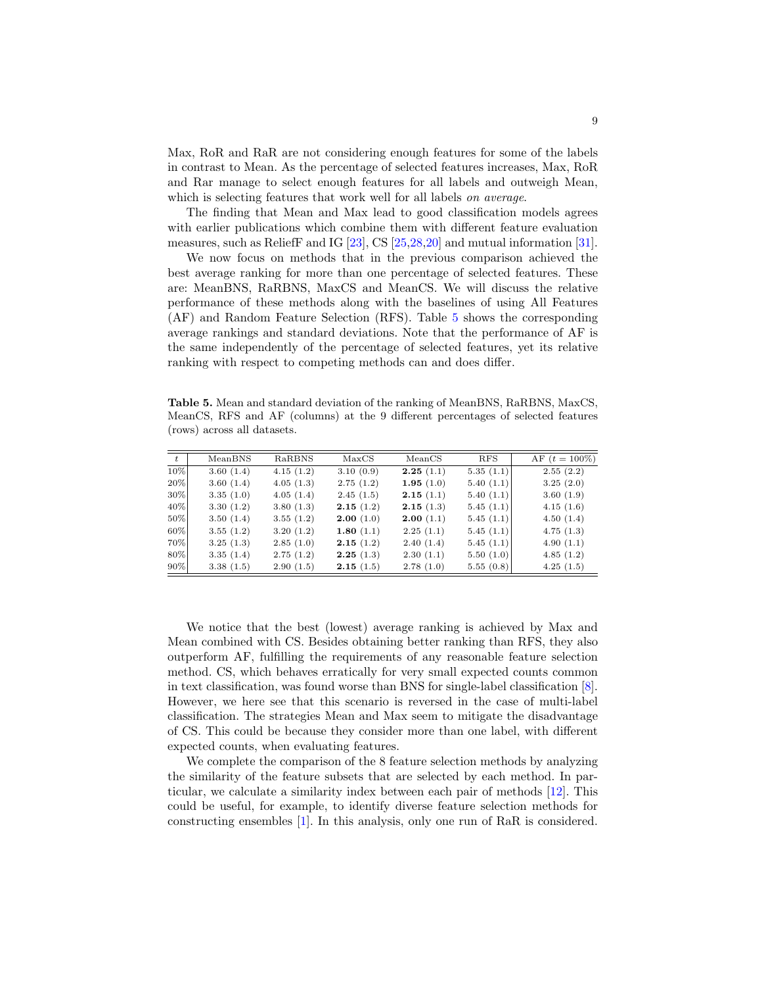Max, RoR and RaR are not considering enough features for some of the labels in contrast to Mean. As the percentage of selected features increases, Max, RoR and Rar manage to select enough features for all labels and outweigh Mean, which is selecting features that work well for all labels on average.

The finding that Mean and Max lead to good classification models agrees with earlier publications which combine them with different feature evaluation measures, such as ReliefF and IG [\[23\]](#page-11-13), CS [\[25,](#page-11-14)[28,](#page-11-4)[20\]](#page-11-9) and mutual information [\[31\]](#page-11-5).

We now focus on methods that in the previous comparison achieved the best average ranking for more than one percentage of selected features. These are: MeanBNS, RaRBNS, MaxCS and MeanCS. We will discuss the relative performance of these methods along with the baselines of using All Features (AF) and Random Feature Selection (RFS). Table [5](#page-8-0) shows the corresponding average rankings and standard deviations. Note that the performance of AF is the same independently of the percentage of selected features, yet its relative ranking with respect to competing methods can and does differ.

<span id="page-8-0"></span>Table 5. Mean and standard deviation of the ranking of MeanBNS, RaRBNS, MaxCS, MeanCS, RFS and AF (columns) at the 9 different percentages of selected features (rows) across all datasets.

| $t^{-1}$ | MeanBNS   | RaRBNS    | MaxCS        | MeanCS       | <b>RFS</b> | AF $(t = 100\%)$ |
|----------|-----------|-----------|--------------|--------------|------------|------------------|
| 10%      | 3.60(1.4) | 4.15(1.2) | 3.10(0.9)    | 2.25(1.1)    | 5.35(1.1)  | 2.55(2.2)        |
| 20%      | 3.60(1.4) | 4.05(1.3) | 2.75(1.2)    | 1.95 $(1.0)$ | 5.40(1.1)  | 3.25(2.0)        |
| $30\%$   | 3.35(1.0) | 4.05(1.4) | 2.45(1.5)    | 2.15(1.1)    | 5.40(1.1)  | 3.60(1.9)        |
| 40%      | 3.30(1.2) | 3.80(1.3) | 2.15(1.2)    | 2.15(1.3)    | 5.45(1.1)  | 4.15(1.6)        |
| 50%      | 3.50(1.4) | 3.55(1.2) | 2.00(1.0)    | 2.00(1.1)    | 5.45(1.1)  | 4.50(1.4)        |
| 60%      | 3.55(1.2) | 3.20(1.2) | 1.80 $(1.1)$ | 2.25(1.1)    | 5.45(1.1)  | 4.75(1.3)        |
| 70%      | 3.25(1.3) | 2.85(1.0) | 2.15(1.2)    | 2.40(1.4)    | 5.45(1.1)  | 4.90(1.1)        |
| 80%      | 3.35(1.4) | 2.75(1.2) | 2.25(1.3)    | 2.30(1.1)    | 5.50(1.0)  | 4.85(1.2)        |
| $90\%$   | 3.38(1.5) | 2.90(1.5) | 2.15(1.5)    | 2.78(1.0)    | 5.55(0.8)  | 4.25(1.5)        |

We notice that the best (lowest) average ranking is achieved by Max and Mean combined with CS. Besides obtaining better ranking than RFS, they also outperform AF, fulfilling the requirements of any reasonable feature selection method. CS, which behaves erratically for very small expected counts common in text classification, was found worse than BNS for single-label classification [\[8\]](#page-10-1). However, we here see that this scenario is reversed in the case of multi-label classification. The strategies Mean and Max seem to mitigate the disadvantage of CS. This could be because they consider more than one label, with different expected counts, when evaluating features.

We complete the comparison of the 8 feature selection methods by analyzing the similarity of the feature subsets that are selected by each method. In particular, we calculate a similarity index between each pair of methods [\[12\]](#page-10-16). This could be useful, for example, to identify diverse feature selection methods for constructing ensembles [\[1\]](#page-10-17). In this analysis, only one run of RaR is considered.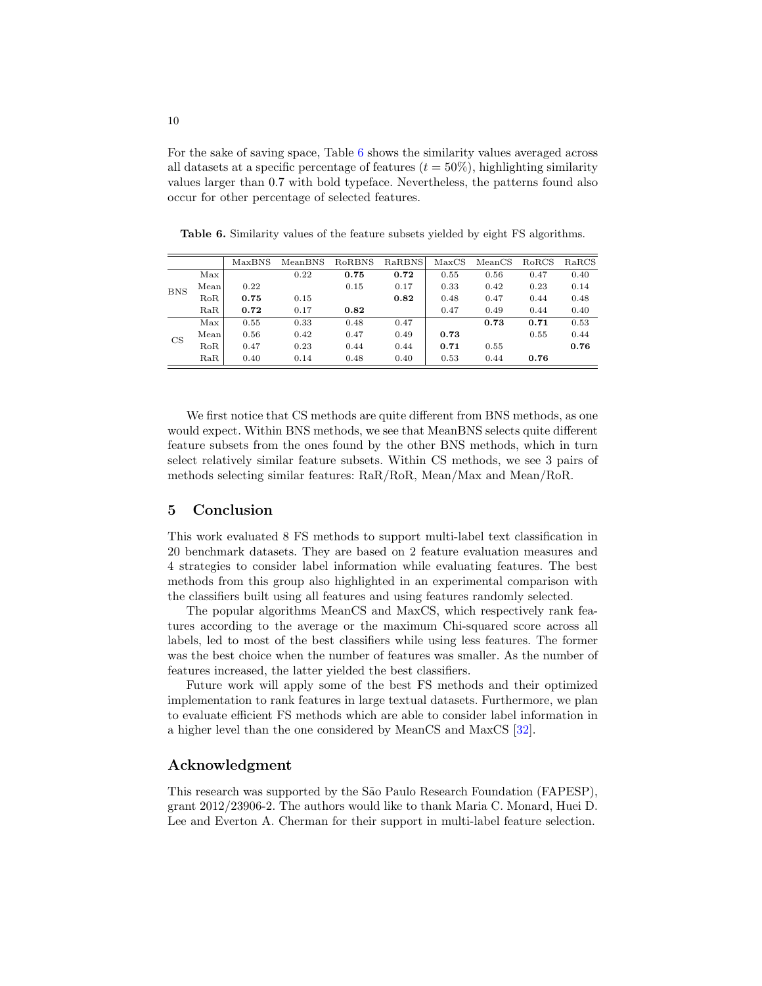For the sake of saving space, Table [6](#page-9-1) shows the similarity values averaged across all datasets at a specific percentage of features  $(t = 50\%)$ , highlighting similarity values larger than 0.7 with bold typeface. Nevertheless, the patterns found also occur for other percentage of selected features.

|            |      | MaxBNS | MeanBNS | RoRBNS | RaRBNS | MaxCS | MeanCS | RoRCS | RaRCS |
|------------|------|--------|---------|--------|--------|-------|--------|-------|-------|
|            | Max  |        | 0.22    | 0.75   | 0.72   | 0.55  | 0.56   | 0.47  | 0.40  |
| <b>BNS</b> | Mean | 0.22   |         | 0.15   | 0.17   | 0.33  | 0.42   | 0.23  | 0.14  |
|            | RoR  | 0.75   | 0.15    |        | 0.82   | 0.48  | 0.47   | 0.44  | 0.48  |
|            | RaR  | 0.72   | 0.17    | 0.82   |        | 0.47  | 0.49   | 0.44  | 0.40  |
| CS         | Max  | 0.55   | 0.33    | 0.48   | 0.47   |       | 0.73   | 0.71  | 0.53  |
|            | Mean | 0.56   | 0.42    | 0.47   | 0.49   | 0.73  |        | 0.55  | 0.44  |
|            | RoR  | 0.47   | 0.23    | 0.44   | 0.44   | 0.71  | 0.55   |       | 0.76  |
|            | RaR  | 0.40   | 0.14    | 0.48   | 0.40   | 0.53  | 0.44   | 0.76  |       |

<span id="page-9-1"></span>Table 6. Similarity values of the feature subsets yielded by eight FS algorithms.

We first notice that CS methods are quite different from BNS methods, as one would expect. Within BNS methods, we see that MeanBNS selects quite different feature subsets from the ones found by the other BNS methods, which in turn select relatively similar feature subsets. Within CS methods, we see 3 pairs of methods selecting similar features: RaR/RoR, Mean/Max and Mean/RoR.

# <span id="page-9-0"></span>5 Conclusion

This work evaluated 8 FS methods to support multi-label text classification in 20 benchmark datasets. They are based on 2 feature evaluation measures and 4 strategies to consider label information while evaluating features. The best methods from this group also highlighted in an experimental comparison with the classifiers built using all features and using features randomly selected.

The popular algorithms MeanCS and MaxCS, which respectively rank features according to the average or the maximum Chi-squared score across all labels, led to most of the best classifiers while using less features. The former was the best choice when the number of features was smaller. As the number of features increased, the latter yielded the best classifiers.

Future work will apply some of the best FS methods and their optimized implementation to rank features in large textual datasets. Furthermore, we plan to evaluate efficient FS methods which are able to consider label information in a higher level than the one considered by MeanCS and MaxCS [\[32\]](#page-11-0).

### Acknowledgment

This research was supported by the São Paulo Research Foundation (FAPESP), grant 2012/23906-2. The authors would like to thank Maria C. Monard, Huei D. Lee and Everton A. Cherman for their support in multi-label feature selection.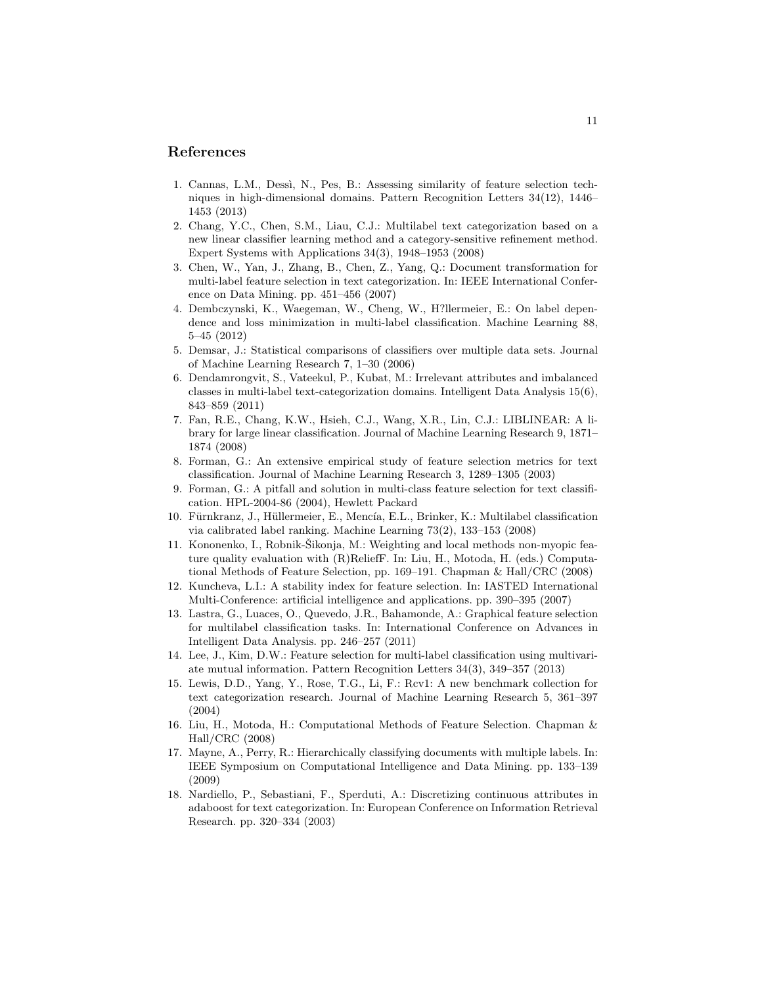## References

- <span id="page-10-17"></span>1. Cannas, L.M., Dessì, N., Pes, B.: Assessing similarity of feature selection techniques in high-dimensional domains. Pattern Recognition Letters 34(12), 1446– 1453 (2013)
- <span id="page-10-9"></span>2. Chang, Y.C., Chen, S.M., Liau, C.J.: Multilabel text categorization based on a new linear classifier learning method and a category-sensitive refinement method. Expert Systems with Applications 34(3), 1948–1953 (2008)
- <span id="page-10-8"></span>3. Chen, W., Yan, J., Zhang, B., Chen, Z., Yang, Q.: Document transformation for multi-label feature selection in text categorization. In: IEEE International Conference on Data Mining. pp. 451–456 (2007)
- <span id="page-10-3"></span>4. Dembczynski, K., Waegeman, W., Cheng, W., H?llermeier, E.: On label dependence and loss minimization in multi-label classification. Machine Learning 88, 5–45 (2012)
- <span id="page-10-15"></span>5. Demsar, J.: Statistical comparisons of classifiers over multiple data sets. Journal of Machine Learning Research 7, 1–30 (2006)
- <span id="page-10-5"></span>6. Dendamrongvit, S., Vateekul, P., Kubat, M.: Irrelevant attributes and imbalanced classes in multi-label text-categorization domains. Intelligent Data Analysis 15(6), 843–859 (2011)
- <span id="page-10-14"></span>7. Fan, R.E., Chang, K.W., Hsieh, C.J., Wang, X.R., Lin, C.J.: LIBLINEAR: A library for large linear classification. Journal of Machine Learning Research 9, 1871– 1874 (2008)
- <span id="page-10-1"></span>8. Forman, G.: An extensive empirical study of feature selection metrics for text classification. Journal of Machine Learning Research 3, 1289–1305 (2003)
- <span id="page-10-2"></span>9. Forman, G.: A pitfall and solution in multi-class feature selection for text classification. HPL-2004-86 (2004), Hewlett Packard
- <span id="page-10-4"></span>10. Fürnkranz, J., Hüllermeier, E., Mencía, E.L., Brinker, K.: Multilabel classification via calibrated label ranking. Machine Learning 73(2), 133–153 (2008)
- <span id="page-10-13"></span>11. Kononenko, I., Robnik-Sikonja, M.: Weighting and local methods non-myopic feature quality evaluation with (R)ReliefF. In: Liu, H., Motoda, H. (eds.) Computational Methods of Feature Selection, pp. 169–191. Chapman & Hall/CRC (2008)
- <span id="page-10-16"></span>12. Kuncheva, L.I.: A stability index for feature selection. In: IASTED International Multi-Conference: artificial intelligence and applications. pp. 390–395 (2007)
- <span id="page-10-11"></span>13. Lastra, G., Luaces, O., Quevedo, J.R., Bahamonde, A.: Graphical feature selection for multilabel classification tasks. In: International Conference on Advances in Intelligent Data Analysis. pp. 246–257 (2011)
- <span id="page-10-12"></span>14. Lee, J., Kim, D.W.: Feature selection for multi-label classification using multivariate mutual information. Pattern Recognition Letters 34(3), 349–357 (2013)
- <span id="page-10-7"></span>15. Lewis, D.D., Yang, Y., Rose, T.G., Li, F.: Rcv1: A new benchmark collection for text categorization research. Journal of Machine Learning Research 5, 361–397 (2004)
- <span id="page-10-0"></span>16. Liu, H., Motoda, H.: Computational Methods of Feature Selection. Chapman & Hall/CRC (2008)
- <span id="page-10-10"></span>17. Mayne, A., Perry, R.: Hierarchically classifying documents with multiple labels. In: IEEE Symposium on Computational Intelligence and Data Mining. pp. 133–139 (2009)
- <span id="page-10-6"></span>18. Nardiello, P., Sebastiani, F., Sperduti, A.: Discretizing continuous attributes in adaboost for text categorization. In: European Conference on Information Retrieval Research. pp. 320–334 (2003)